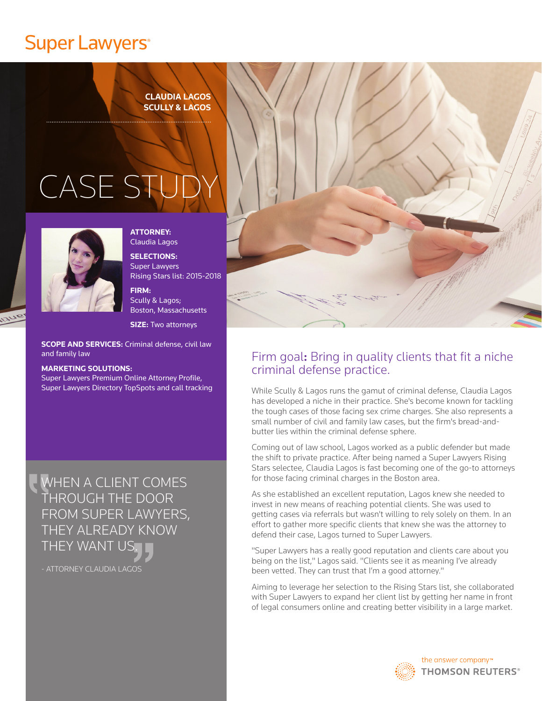## **Super Lawyers®**

**CLAUDIA LAGOS SCULLY & LAGOS**

# CASE ST



**ATTORNEY:**  Claudia Lagos

**SELECTIONS:**  Super Lawyers Rising Stars list: 2015-2018

**FIRM:**  Scully & Lagos; Boston, Massachusetts

**SIZE:** Two attorneys

**SCOPE AND SERVICES:** Criminal defense, civil law and family law

#### **MARKETING SOLUTIONS:**

Super Lawyers Premium Online Attorney Profile, Super Lawyers Directory TopSpots and call tracking

WHEN A CLIENT COMES THROUGH THE DOOR FROM SUPER LAWYERS, THEY ALREADY KNOW THEY WANT US.

- ATTORNEY CLAUDIA LAGOS



#### Firm goal: Bring in quality clients that fit a niche criminal defense practice.

While Scully & Lagos runs the gamut of criminal defense, Claudia Lagos has developed a niche in their practice. She's become known for tackling the tough cases of those facing sex crime charges. She also represents a small number of civil and family law cases, but the firm's bread-andbutter lies within the criminal defense sphere.

Coming out of law school, Lagos worked as a public defender but made the shift to private practice. After being named a Super Lawyers Rising Stars selectee, Claudia Lagos is fast becoming one of the go-to attorneys for those facing criminal charges in the Boston area.

As she established an excellent reputation, Lagos knew she needed to invest in new means of reaching potential clients. She was used to getting cases via referrals but wasn't willing to rely solely on them. In an effort to gather more specific clients that knew she was the attorney to defend their case, Lagos turned to Super Lawyers.

"Super Lawyers has a really good reputation and clients care about you being on the list," Lagos said. "Clients see it as meaning I've already been vetted. They can trust that I'm a good attorney."

Aiming to leverage her selection to the Rising Stars list, she collaborated with Super Lawyers to expand her client list by getting her name in front of legal consumers online and creating better visibility in a large market.